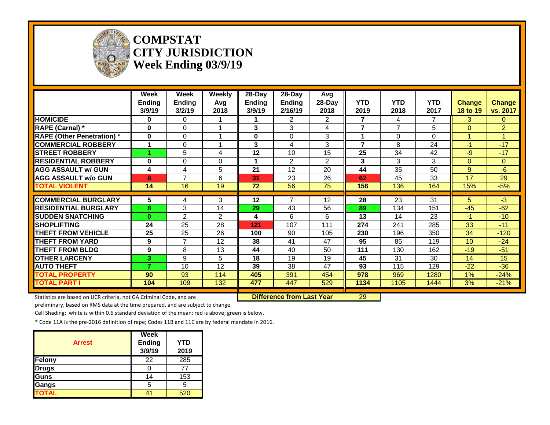

#### **COMPSTAT CITY JURISDICTION Week Ending 03/9/19**

|                                                                     | Week<br><b>Ending</b><br>3/9/19 | <b>Week</b><br><b>Ending</b><br>3/2/19 | Weekly<br>Avg<br>2018 | 28-Day<br><b>Ending</b><br>3/9/19 | 28-Day<br><b>Ending</b><br>2/16/19 | Avg<br>28-Day<br>2018 | <b>YTD</b><br>2019 | <b>YTD</b><br>2018 | <b>YTD</b><br>2017 | <b>Change</b><br>18 to 19 | <b>Change</b><br>vs. 2017 |
|---------------------------------------------------------------------|---------------------------------|----------------------------------------|-----------------------|-----------------------------------|------------------------------------|-----------------------|--------------------|--------------------|--------------------|---------------------------|---------------------------|
| <b>HOMICIDE</b>                                                     | 0                               | $\Omega$                               |                       |                                   | 2                                  | $\overline{2}$        | 7                  | 4                  | 7                  | 3                         | $\overline{0}$            |
| <b>RAPE (Carnal) *</b>                                              | 0                               | $\mathbf 0$                            |                       | 3                                 | 3                                  | 4                     | $\overline{7}$     | $\overline{7}$     | 5                  | $\Omega$                  | $\overline{2}$            |
| <b>RAPE (Other Penetration)</b> *                                   | 0                               | 0                                      |                       | 0                                 | $\Omega$                           | 3                     | 1                  | $\Omega$           | 0                  |                           |                           |
| <b>COMMERCIAL ROBBERY</b>                                           |                                 | 0                                      |                       | 3                                 | 4                                  | 3                     | 7                  | 8                  | 24                 | $-1$                      | $-17$                     |
| <b>ISTREET ROBBERY</b>                                              |                                 | 5                                      | 4                     | 12                                | 10                                 | 15                    | 25                 | 34                 | 42                 | $-9$                      | $-17$                     |
| <b>RESIDENTIAL ROBBERY</b>                                          | $\bf{0}$                        | $\mathbf 0$                            | $\Omega$              |                                   | $\overline{2}$                     | $\overline{2}$        | 3                  | 3                  | 3                  | $\Omega$                  | $\overline{0}$            |
| <b>AGG ASSAULT w/ GUN</b>                                           | 4                               | 4                                      | 5                     | 21                                | 12                                 | 20                    | 44                 | 35                 | 50                 | 9                         | $-6$                      |
| <b>AGG ASSAULT w/o GUN</b>                                          | 8                               | $\overline{7}$                         | 6                     | 31                                | 23                                 | 26                    | 62                 | 45                 | 33                 | 17                        | 29                        |
| <b>TOTAL VIOLENT</b>                                                | 14                              | 16                                     | $\overline{19}$       | 72                                | 56                                 | 75                    | 156                | 136                | 164                | 15%                       | $-5%$                     |
| <b>COMMERCIAL BURGLARY</b>                                          | 5                               | 4                                      | 3                     | 12                                | $\overline{7}$                     | 12                    | 28                 | 23                 | 31                 | 5                         | $-3$                      |
| <b>RESIDENTIAL BURGLARY</b>                                         | 8                               | 3                                      | 14                    | 29                                | 43                                 | 56                    | 89                 | 134                | 151                | $-45$                     | $-62$                     |
| <b>SUDDEN SNATCHING</b>                                             | $\bf{0}$                        | $\overline{2}$                         | 2                     | 4                                 | 6                                  | 6                     | 13                 | 14                 | 23                 | $-1$                      | $-10$                     |
| <b>SHOPLIFTING</b>                                                  | 24                              | 25                                     | 28                    | 121                               | 107                                | 111                   | 274                | 241                | 285                | 33                        | $-11$                     |
| <b>THEFT FROM VEHICLE</b>                                           | 25                              | 25                                     | 26                    | 100                               | 90                                 | 105                   | 230                | 196                | 350                | 34                        | $-120$                    |
| <b>THEFT FROM YARD</b>                                              | 9                               | $\overline{7}$                         | 12                    | 38                                | 41                                 | 47                    | 95                 | 85                 | 119                | 10                        | $-24$                     |
| <b>THEFT FROM BLDG</b>                                              | 9                               | 8                                      | 13                    | 44                                | 40                                 | 50                    | 111                | 130                | 162                | $-19$                     | $-51$                     |
| <b>OTHER LARCENY</b>                                                | 3                               | 9                                      | 5                     | 18                                | 19                                 | 19                    | 45                 | 31                 | 30                 | 14                        | 15                        |
| <b>AUTO THEFT</b>                                                   | 7                               | 10                                     | $\overline{12}$       | 39                                | 38                                 | 47                    | 93                 | 115                | 129                | $-22$                     | $-36$                     |
| <b>TOTAL PROPERTY</b>                                               | 90                              | 93                                     | 114                   | 405                               | 391                                | 454                   | 978                | 969                | 1280               | 1%                        | $-24%$                    |
| <b>TOTAL PART I</b>                                                 | 104                             | 109                                    | 132                   | 477                               | 447                                | 529                   | 1134               | 1105               | 1444               | 3%                        | $-21%$                    |
| Statistics are based on UCR criteria, not GA Criminal Code, and are |                                 |                                        |                       |                                   | <b>Difference from Last Year</b>   |                       | 29                 |                    |                    |                           |                           |

preliminary, based on RMS data at the time prepared, and are subject to change.

Cell Shading: white is within 0.6 standard deviation of the mean; red is above; green is below.

| <b>Arrest</b> | Week<br><b>Ending</b><br>3/9/19 | <b>YTD</b><br>2019 |
|---------------|---------------------------------|--------------------|
| Felony        | 22                              | 285                |
| <b>Drugs</b>  |                                 | 77                 |
| Guns          | 14                              | 153                |
| Gangs         | 5                               | 5                  |
| <b>TOTAL</b>  |                                 | 520                |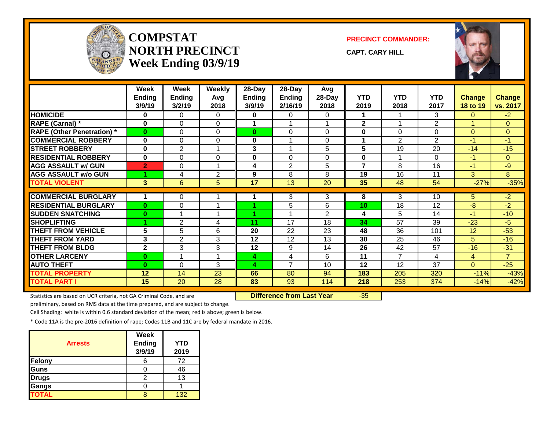

### **COMPSTAT PRECINCT COMMANDER: NORTH PRECINCT** CAPT. CARY HILL **Week Ending 03/9/19**



|                                   | Week<br><b>Ending</b><br>3/9/19 | Week<br><b>Ending</b><br>3/2/19 | <b>Weekly</b><br>Avg<br>2018 | 28-Day<br><b>Ending</b><br>3/9/19 | 28-Day<br>Ending<br>2/16/19 | Avg<br>28-Day<br>2018 | <b>YTD</b><br>2019 | <b>YTD</b><br>2018 | <b>YTD</b><br>2017 | <b>Change</b><br>18 to 19 | <b>Change</b><br>vs. 2017 |
|-----------------------------------|---------------------------------|---------------------------------|------------------------------|-----------------------------------|-----------------------------|-----------------------|--------------------|--------------------|--------------------|---------------------------|---------------------------|
| <b>HOMICIDE</b>                   | 0                               | 0                               | $\Omega$                     | 0                                 | $\Omega$                    | 0                     | 1                  |                    | 3                  | $\Omega$                  | $-2$                      |
| <b>RAPE (Carnal)</b> *            | $\bf{0}$                        | $\Omega$                        | $\Omega$                     | 1                                 | 1                           |                       | $\mathbf{2}$       | 1                  | 2                  | 4                         | $\Omega$                  |
| <b>RAPE (Other Penetration)</b> * | $\bf{0}$                        | $\Omega$                        | $\Omega$                     | 0                                 | $\Omega$                    | 0                     | $\bf{0}$           | 0                  | $\Omega$           | $\Omega$                  | $\overline{0}$            |
| <b>COMMERCIAL ROBBERY</b>         | $\bf{0}$                        | $\Omega$                        | $\Omega$                     | 0                                 | 1                           | 0                     | 1                  | $\overline{2}$     | $\overline{2}$     | $-1$                      | $-1$                      |
| <b>STREET ROBBERY</b>             | $\bf{0}$                        | $\overline{2}$                  | 1                            | 3                                 | 1                           | 5                     | 5                  | 19                 | 20                 | $-14$                     | $-15$                     |
| <b>RESIDENTIAL ROBBERY</b>        | $\mathbf{0}$                    | 0                               | $\Omega$                     | 0                                 | $\Omega$                    | 0                     | 0                  | 1                  | $\Omega$           | $-1$                      | $\overline{0}$            |
| <b>AGG ASSAULT w/ GUN</b>         | $\overline{2}$                  | 0                               | 1                            | 4                                 | $\overline{2}$              | 5                     | $\overline{7}$     | 8                  | 16                 | $-1$                      | $-9$                      |
| <b>AGG ASSAULT w/o GUN</b>        |                                 | 4                               | $\overline{2}$               | 9                                 | 8                           | 8                     | 19                 | 16                 | 11                 | 3                         | 8                         |
| <b>TOTAL VIOLENT</b>              | $\mathbf{3}$                    | $6\phantom{1}$                  | 5                            | 17                                | 13                          | 20                    | 35                 | 48                 | 54                 | $-27%$                    | $-35%$                    |
|                                   |                                 |                                 |                              |                                   |                             |                       |                    |                    |                    |                           |                           |
| <b>COMMERCIAL BURGLARY</b>        |                                 | 0                               |                              |                                   | 3                           | 3                     | 8                  | 3                  | 10                 | 5.                        | $-2$                      |
| <b>RESIDENTIAL BURGLARY</b>       | $\bf{0}$                        | 0                               |                              |                                   | 5                           | 6                     | 10                 | 18                 | 12                 | $-8$                      | $-2$                      |
| <b>SUDDEN SNATCHING</b>           | $\bf{0}$                        | $\overline{A}$                  |                              |                                   | $\overline{\mathbf{A}}$     | $\overline{2}$        | 4                  | 5                  | 14                 | $-1$                      | $-10$                     |
| <b>SHOPLIFTING</b>                |                                 | $\overline{2}$                  | 4                            | 11                                | 17                          | 18                    | 34                 | 57                 | 39                 | $-23$                     | $-5$                      |
| <b>THEFT FROM VEHICLE</b>         | 5                               | 5                               | 6                            | 20                                | 22                          | 23                    | 48                 | 36                 | 101                | 12                        | $-53$                     |
| <b>THEFT FROM YARD</b>            | 3                               | $\overline{2}$                  | 3                            | 12                                | 12                          | 13                    | 30                 | 25                 | 46                 | 5.                        | $-16$                     |
| <b>THEFT FROM BLDG</b>            | $\mathbf{2}$                    | 3                               | 3                            | 12                                | 9                           | 14                    | 26                 | 42                 | 57                 | $-16$                     | $-31$                     |
| <b>OTHER LARCENY</b>              | $\bf{0}$                        | $\overline{A}$                  | $\overline{A}$               | 4                                 | 4                           | 6                     | 11                 | $\overline{7}$     | 4                  | $\overline{4}$            | $\overline{7}$            |
| <b>AUTO THEFT</b>                 | $\bf{0}$                        | $\Omega$                        | 3                            | 4                                 | $\overline{7}$              | 10                    | 12                 | 12                 | 37                 | $\overline{0}$            | $-25$                     |
| <b>TOTAL PROPERTY</b>             | 12                              | 14                              | 23                           | 66                                | 80                          | 94                    | 183                | 205                | 320                | $-11%$                    | $-43%$                    |
| <b>TOTAL PART I</b>               | 15                              | 20                              | 28                           | 83                                | 93                          | 114                   | 218                | 253                | 374                | $-14%$                    | $-42%$                    |

Statistics are based on UCR criteria, not GA Criminal Code, and are **Difference from Last Year** -35

preliminary, based on RMS data at the time prepared, and are subject to change.

Cell Shading: white is within 0.6 standard deviation of the mean; red is above; green is below.

| <b>Arrests</b> | Week<br>Ending<br>3/9/19 | <b>YTD</b><br>2019 |
|----------------|--------------------------|--------------------|
| Felony         |                          | 72                 |
| Guns           |                          | 46                 |
| <b>Drugs</b>   |                          | 13                 |
| Gangs          |                          |                    |
| <b>TOTAL</b>   |                          | 132                |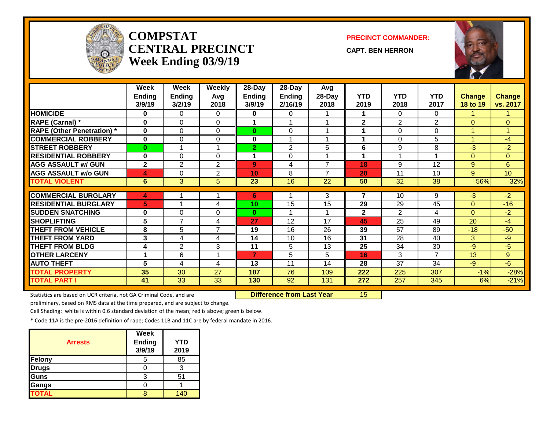

# **COMPSTAT PRECINCT COMMANDER: CENTRAL PRECINCT** CAPT. BEN HERRON **Week Ending 03/9/19**



|                                   | Week          | Week           | <b>Weekly</b>  | 28-Day                  | $28$ -Day      | Avg            |                |                |                    |                |                |
|-----------------------------------|---------------|----------------|----------------|-------------------------|----------------|----------------|----------------|----------------|--------------------|----------------|----------------|
|                                   | <b>Ending</b> | <b>Ending</b>  | Avg            | <b>Ending</b>           | <b>Ending</b>  | 28-Day<br>2018 | <b>YTD</b>     | <b>YTD</b>     | <b>YTD</b><br>2017 | <b>Change</b>  | <b>Change</b>  |
|                                   | 3/9/19        | 3/2/19         | 2018           | 3/9/19                  | 2/16/19        |                | 2019           | 2018           |                    | 18 to 19       | vs. 2017       |
| <b>HOMICIDE</b>                   | $\bf{0}$      | 0              | $\Omega$       | 0                       | $\Omega$       |                |                | $\Omega$       | $\Omega$           |                |                |
| <b>RAPE (Carnal)</b> *            | 0             | 0              | $\Omega$       | 1                       | 4              |                | $\mathbf 2$    | $\overline{2}$ | $\overline{2}$     | $\mathbf{0}$   | $\overline{0}$ |
| <b>RAPE (Other Penetration)</b> * | $\mathbf 0$   | 0              | $\Omega$       | $\overline{\mathbf{0}}$ | 0              |                | -1             | $\Omega$       | 0                  |                | 1              |
| <b>COMMERCIAL ROBBERY</b>         | $\mathbf 0$   | 0              | $\mathbf{0}$   | 0                       | 1              |                | -1             | $\Omega$       | 5                  | $\overline{A}$ | -4             |
| <b>STREET ROBBERY</b>             | $\bf{0}$      |                | 1              | $\overline{2}$          | $\overline{2}$ | 5              | 6              | 9              | 8                  | $-3$           | $-2$           |
| <b>RESIDENTIAL ROBBERY</b>        | $\bf{0}$      | 0              | $\Omega$       | 1                       | $\overline{0}$ |                | 1              |                |                    | $\Omega$       | $\overline{0}$ |
| <b>AGG ASSAULT w/ GUN</b>         | $\mathbf{2}$  | $\overline{2}$ | $\overline{2}$ | 9                       | 4              | $\overline{ }$ | 18             | 9              | 12                 | 9              | $6\phantom{1}$ |
| <b>AGG ASSAULT w/o GUN</b>        | 4             | 0              | $\overline{2}$ | 10                      | 8              | $\overline{7}$ | 20             | 11             | 10                 | 9              | 10             |
| <b>TOTAL VIOLENT</b>              | 6             | 3              | 5              | 23                      | 16             | 22             | 50             | 32             | 38                 | 56%            | 32%            |
|                                   |               |                |                |                         |                |                |                |                |                    |                |                |
| <b>COMMERCIAL BURGLARY</b>        | 4             |                |                | 6                       |                | 3              | $\overline{7}$ | 10             | 9                  | $-3$           | $-2$           |
| <b>RESIDENTIAL BURGLARY</b>       | 5             |                | 4              | 10                      | 15             | 15             | 29             | 29             | 45                 | $\Omega$       | $-16$          |
| <b>SUDDEN SNATCHING</b>           | 0             | 0              | $\Omega$       | $\bf{0}$                |                |                | $\overline{2}$ | $\overline{2}$ | 4                  | $\Omega$       | $-2$           |
| <b>SHOPLIFTING</b>                | 5             | $\overline{7}$ | 4              | 27                      | 12             | 17             | 45             | 25             | 49                 | 20             | -4             |
| <b>THEFT FROM VEHICLE</b>         | 8             | 5              | $\overline{7}$ | 19                      | 16             | 26             | 39             | 57             | 89                 | $-18$          | $-50$          |
| <b>THEFT FROM YARD</b>            | 3             | 4              | 4              | 14                      | 10             | 16             | 31             | 28             | 40                 | 3 <sup>1</sup> | $-9$           |
| <b>THEFT FROM BLDG</b>            | 4             | $\overline{2}$ | 3              | 11                      | 5              | 13             | 25             | 34             | 30                 | $-9$           | -5             |
| <b>OTHER LARCENY</b>              |               | 6              | 1              | 7                       | 5              | 5              | 16             | 3              | $\overline{7}$     | 13             | 9              |
| <b>AUTO THEFT</b>                 | 5             | 4              | 4              | 13                      | 11             | 14             | 28             | 37             | 34                 | $-9$           | $-6$           |
| <b>TOTAL PROPERTY</b>             | 35            | 30             | 27             | 107                     | 76             | 109            | 222            | 225            | 307                | $-1%$          | $-28%$         |
| <b>TOTAL PART I</b>               | 41            | 33             | 33             | 130                     | 92             | 131            | 272            | 257            | 345                | 6%             | $-21%$         |

Statistics are based on UCR criteria, not GA Criminal Code, and are **Difference from Last Year** 15

preliminary, based on RMS data at the time prepared, and are subject to change.

Cell Shading: white is within 0.6 standard deviation of the mean; red is above; green is below.

| <b>Arrests</b> | Week<br><b>Ending</b><br>3/9/19 | <b>YTD</b><br>2019 |
|----------------|---------------------------------|--------------------|
| Felony         | h                               | 85                 |
| Drugs          |                                 |                    |
| Guns           | 3                               | 51                 |
| Gangs          |                                 |                    |
| <b>TOTAL</b>   |                                 | 14በ                |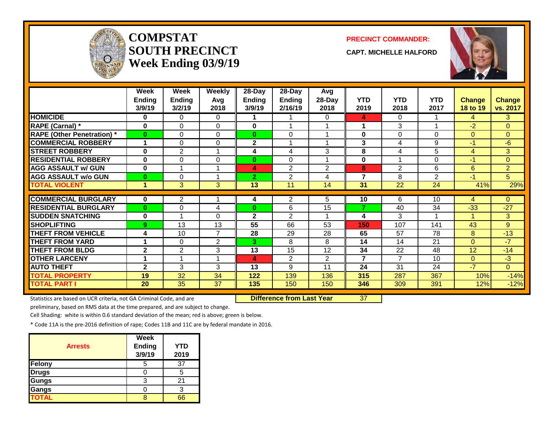

# **COMPSTAT PRECINCT COMMANDER: SOUTH PRECINCT** CAPT. MICHELLE HALFORD **Week Ending 03/9/19**



|                                   | Week          | Week           | Weekly         | 28-Day          | 28-Day         | Avg            |                |                 |                 |                 |                |
|-----------------------------------|---------------|----------------|----------------|-----------------|----------------|----------------|----------------|-----------------|-----------------|-----------------|----------------|
|                                   | <b>Ending</b> | Ending         | Avg            | <b>Ending</b>   | <b>Ending</b>  | 28-Day         | <b>YTD</b>     | <b>YTD</b>      | <b>YTD</b>      | <b>Change</b>   | Change         |
|                                   | 3/9/19        | 3/2/19         | 2018           | 3/9/19          | 2/16/19        | 2018           | 2019           | 2018            | 2017            | <b>18 to 19</b> | vs. 2017       |
| <b>HOMICIDE</b>                   | 0             | 0              | 0              |                 |                | 0              | 4              | 0               |                 | 4               | 3              |
| <b>RAPE (Carnal)</b> *            | $\bf{0}$      | 0              | $\Omega$       | $\bf{0}$        |                |                |                | 3               |                 | $-2$            | $\overline{0}$ |
| <b>RAPE (Other Penetration)</b> * | $\bf{0}$      | 0              | $\Omega$       | $\bf{0}$        | $\Omega$       |                | 0              | $\Omega$        | $\Omega$        | $\Omega$        | $\Omega$       |
| <b>COMMERCIAL ROBBERY</b>         | 1             | 0              | $\Omega$       | $\mathbf 2$     |                |                | 3              | 4               | 9               | $-1$            | -6             |
| <b>STREET ROBBERY</b>             | 0             | $\overline{2}$ | 1              | 4               | 4              | 3              | 8              | 4               | 5               | 4               | 3              |
| <b>RESIDENTIAL ROBBERY</b>        | 0             | 0              | $\Omega$       | $\bf{0}$        | $\Omega$       |                | 0              | $\overline{A}$  | $\Omega$        | $-1$            | $\overline{0}$ |
| <b>AGG ASSAULT w/ GUN</b>         | 0             | 4              | 1              | 4               | 2              | $\overline{2}$ | 8              | $\overline{2}$  | 6               | 6               | $\overline{2}$ |
| <b>AGG ASSAULT w/o GUN</b>        | $\bf{0}$      | 0              | 1              | 2               | $\overline{2}$ | 4              | $\overline{7}$ | 8               | $\overline{2}$  | $-1$            | 5              |
| <b>TOTAL VIOLENT</b>              | $\mathbf{1}$  | 3              | 3              | $\overline{13}$ | 11             | 14             | 31             | $\overline{22}$ | $\overline{24}$ | 41%             | 29%            |
|                                   |               |                |                |                 |                |                |                |                 |                 |                 |                |
| <b>COMMERCIAL BURGLARY</b>        | 0             | $\overline{2}$ |                | 4               | 2              | 5.             | 10             | 6               | 10              | 4               | $\Omega$       |
| <b>RESIDENTIAL BURGLARY</b>       | $\bf{0}$      | 0              | 4              | $\bf{0}$        | 6              | 15             | $\overline{z}$ | 40              | 34              | $-33$           | $-27$          |
| <b>SUDDEN SNATCHING</b>           | 0             |                | $\Omega$       | $\mathbf{2}$    | $\overline{2}$ |                | 4              | 3               |                 | 1               | 3              |
| <b>SHOPLIFTING</b>                | 9             | 13             | 13             | $\overline{55}$ | 66             | 53             | 150            | 107             | 141             | 43              | 9              |
| <b>THEFT FROM VEHICLE</b>         | 4             | 10             | $\overline{7}$ | 28              | 29             | 28             | 65             | 57              | 78              | 8               | $-13$          |
| <b>THEFT FROM YARD</b>            | 1             | 0              | $\overline{2}$ | 3               | 8              | 8              | 14             | 14              | 21              | $\Omega$        | $-7$           |
| <b>THEFT FROM BLDG</b>            | $\mathbf{2}$  | $\overline{2}$ | 3              | 13              | 15             | 12             | 34             | 22              | 48              | 12              | $-14$          |
| <b>OTHER LARCENY</b>              | 1             | 1              | 1              | 4               | 2              | $\overline{2}$ | $\overline{7}$ | 7               | 10              | $\Omega$        | $-3$           |
| <b>AUTO THEFT</b>                 | $\mathbf{2}$  | 3              | 3              | 13              | 9              | 11             | 24             | 31              | 24              | $-7$            | $\overline{0}$ |
| <b>TOTAL PROPERTY</b>             | 19            | 32             | 34             | 122             | 139            | 136            | 315            | 287             | 367             | 10%             | $-14%$         |
| <b>TOTAL PART I</b>               | 20            | 35             | 37             | 135             | 150            | 150            | 346            | 309             | 391             | 12%             | $-12%$         |

Statistics are based on UCR criteria, not GA Criminal Code, and are **Difference from Last Year** 37

preliminary, based on RMS data at the time prepared, and are subject to change.

Cell Shading: white is within 0.6 standard deviation of the mean; red is above; green is below.

|                | Week   |            |
|----------------|--------|------------|
| <b>Arrests</b> | Ending | <b>YTD</b> |
|                | 3/9/19 | 2019       |
| Felony         |        | 37         |
| <b>Drugs</b>   |        | 5          |
| <b>Gungs</b>   |        | 21         |
| Gangs          |        | 3          |
| <b>TOTAL</b>   |        | ิลค        |